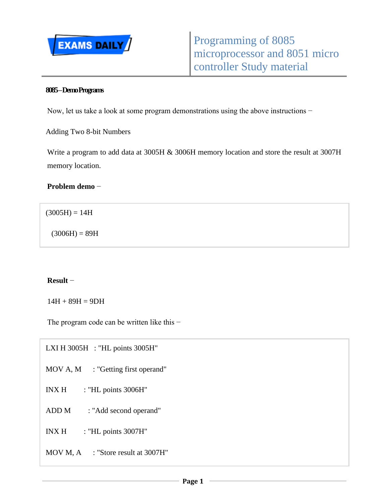

#### **8085 –Demo Programs**

Now, let us take a look at some program demonstrations using the above instructions −

Adding Two 8-bit Numbers

Write a program to add data at 3005H & 3006H memory location and store the result at 3007H memory location.

**Problem demo** −

 $(3005H) = 14H$ 

 $(3006H) = 89H$ 

#### **Result** −

 $14H + 89H = 9DH$ 

The program code can be written like this −

LXI H 3005H : "HL points 3005H" MOV A, M : "Getting first operand" INX H : "HL points 3006H" ADD M : "Add second operand"  $INX H$  : "HL points 3007H" MOV M, A : "Store result at 3007H"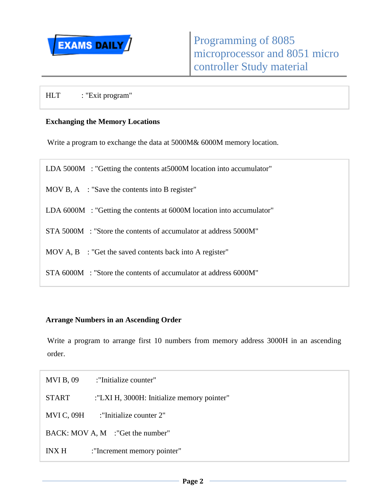

HLT : "Exit program"

### **Exchanging the Memory Locations**

Write a program to exchange the data at 5000M& 6000M memory location.

| LDA 5000M : "Getting the contents at 5000M location into accumulator" |
|-----------------------------------------------------------------------|
| MOV B, A $\therefore$ "Save the contents into B register"             |
| LDA 6000M : "Getting the contents at 6000M location into accumulator" |

- STA 5000M : "Store the contents of accumulator at address 5000M"
- MOV A, B : "Get the saved contents back into A register"
- STA 6000M : "Store the contents of accumulator at address 6000M"

### **Arrange Numbers in an Ascending Order**

Write a program to arrange first 10 numbers from memory address 3000H in an ascending order.

- MVI B, 09 : "Initialize counter"
- START :"LXI H, 3000H: Initialize memory pointer"

MVI C, 09H : "Initialize counter 2"

BACK: MOV A, M :"Get the number"

INX H :"Increment memory pointer"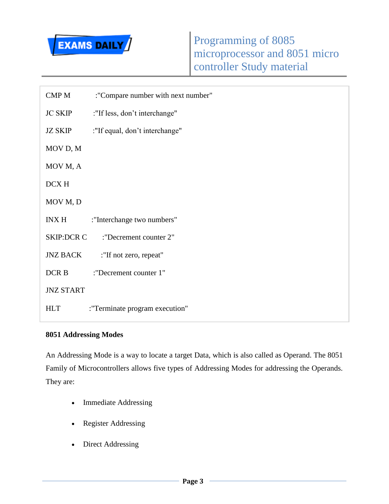

| CMP M             | :"Compare number with next number" |
|-------------------|------------------------------------|
| <b>JC SKIP</b>    | :"If less, don't interchange"      |
| <b>JZ SKIP</b>    | :"If equal, don't interchange"     |
| MOV D, M          |                                    |
| MOV M, A          |                                    |
| DCX H             |                                    |
| MOV M, D          |                                    |
| INX H             | :"Interchange two numbers"         |
| <b>SKIP:DCR C</b> | "Decrement counter 2"              |
| JNZ BACK          | :"If not zero, repeat"             |
| DCR <sub>B</sub>  | :"Decrement counter 1"             |
| <b>JNZ START</b>  |                                    |
| HLT               | : "Terminate program execution"    |

# **8051 Addressing Modes**

An Addressing Mode is a way to locate a target Data, which is also called as Operand. The 8051 Family of Microcontrollers allows five types of Addressing Modes for addressing the Operands. They are:

- Immediate Addressing
- Register Addressing
- Direct Addressing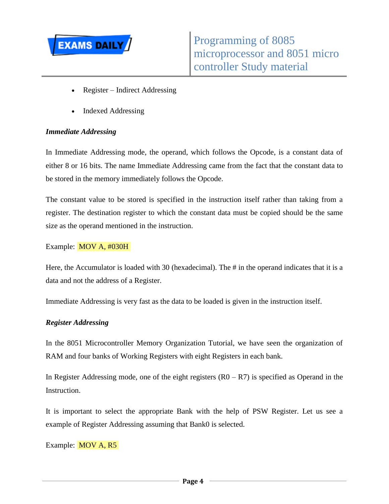

- Register Indirect Addressing
- Indexed Addressing

### *Immediate Addressing*

In Immediate Addressing mode, the operand, which follows the Opcode, is a constant data of either 8 or 16 bits. The name Immediate Addressing came from the fact that the constant data to be stored in the memory immediately follows the Opcode.

The constant value to be stored is specified in the instruction itself rather than taking from a register. The destination register to which the constant data must be copied should be the same size as the operand mentioned in the instruction.

Example: MOV A, #030H

Here, the Accumulator is loaded with 30 (hexadecimal). The # in the operand indicates that it is a data and not the address of a Register.

Immediate Addressing is very fast as the data to be loaded is given in the instruction itself.

#### *Register Addressing*

In the 8051 Microcontroller Memory Organization Tutorial, we have seen the organization of RAM and four banks of Working Registers with eight Registers in each bank.

In Register Addressing mode, one of the eight registers  $(R0 - R7)$  is specified as Operand in the Instruction.

It is important to select the appropriate Bank with the help of PSW Register. Let us see a example of Register Addressing assuming that Bank0 is selected.

Example: **MOV A, R5**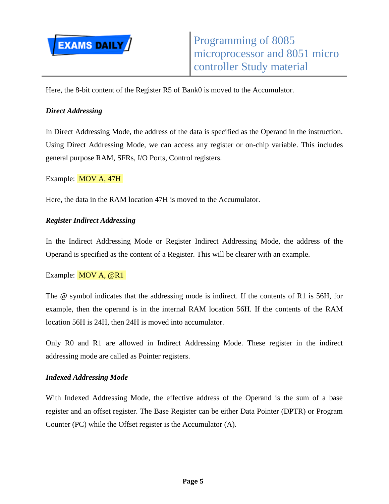

Here, the 8-bit content of the Register R5 of Bank0 is moved to the Accumulator.

# *Direct Addressing*

In Direct Addressing Mode, the address of the data is specified as the Operand in the instruction. Using Direct Addressing Mode, we can access any register or on-chip variable. This includes general purpose RAM, SFRs, I/O Ports, Control registers.

Example: MOV A, 47H

Here, the data in the RAM location 47H is moved to the Accumulator.

## *Register Indirect Addressing*

In the Indirect Addressing Mode or Register Indirect Addressing Mode, the address of the Operand is specified as the content of a Register. This will be clearer with an example.

#### Example: **MOV A, @R1**

The @ symbol indicates that the addressing mode is indirect. If the contents of R1 is 56H, for example, then the operand is in the internal RAM location 56H. If the contents of the RAM location 56H is 24H, then 24H is moved into accumulator.

Only R0 and R1 are allowed in Indirect Addressing Mode. These register in the indirect addressing mode are called as Pointer registers.

#### *Indexed Addressing Mode*

With Indexed Addressing Mode, the effective address of the Operand is the sum of a base register and an offset register. The Base Register can be either Data Pointer (DPTR) or Program Counter (PC) while the Offset register is the Accumulator (A).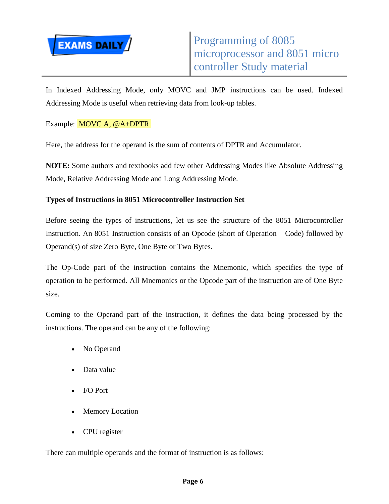

In Indexed Addressing Mode, only MOVC and JMP instructions can be used. Indexed Addressing Mode is useful when retrieving data from look-up tables.

Example: MOVC A, @A+DPTR

Here, the address for the operand is the sum of contents of DPTR and Accumulator.

**NOTE:** Some authors and textbooks add few other Addressing Modes like Absolute Addressing Mode, Relative Addressing Mode and Long Addressing Mode.

## **Types of Instructions in 8051 Microcontroller Instruction Set**

Before seeing the types of instructions, let us see the structure of the 8051 Microcontroller Instruction. An 8051 Instruction consists of an Opcode (short of Operation – Code) followed by Operand(s) of size Zero Byte, One Byte or Two Bytes.

The Op-Code part of the instruction contains the Mnemonic, which specifies the type of operation to be performed. All Mnemonics or the Opcode part of the instruction are of One Byte size.

Coming to the Operand part of the instruction, it defines the data being processed by the instructions. The operand can be any of the following:

- No Operand
- Data value
- I/O Port
- Memory Location
- CPU register

There can multiple operands and the format of instruction is as follows: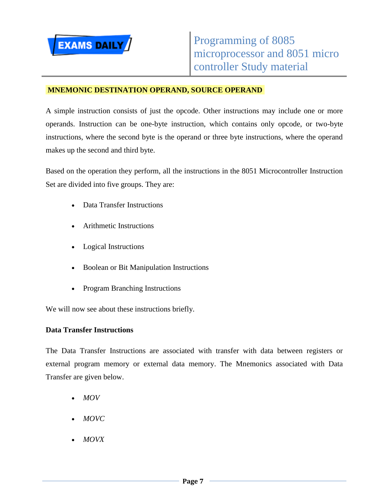

## **MNEMONIC DESTINATION OPERAND, SOURCE OPERAND**

A simple instruction consists of just the opcode. Other instructions may include one or more operands. Instruction can be one-byte instruction, which contains only opcode, or two-byte instructions, where the second byte is the operand or three byte instructions, where the operand makes up the second and third byte.

Based on the operation they perform, all the instructions in the 8051 Microcontroller Instruction Set are divided into five groups. They are:

- Data Transfer Instructions
- Arithmetic Instructions
- Logical Instructions
- Boolean or Bit Manipulation Instructions
- Program Branching Instructions

We will now see about these instructions briefly.

#### **Data Transfer Instructions**

The Data Transfer Instructions are associated with transfer with data between registers or external program memory or external data memory. The Mnemonics associated with Data Transfer are given below.

- *MOV*
- *MOVC*
- *MOVX*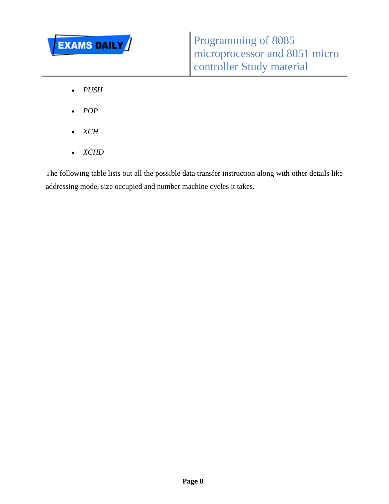

- *PUSH*
- *POP*
- *XCH*
- *XCHD*

The following table lists out all the possible data transfer instruction along with other details like addressing mode, size occupied and number machine cycles it takes.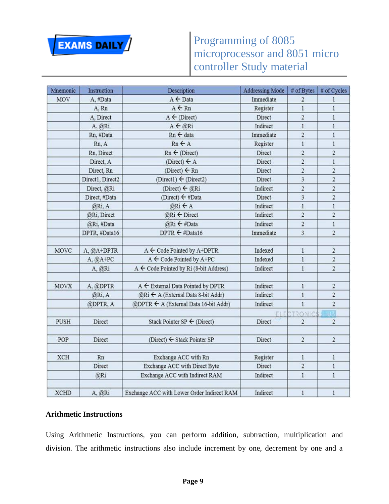

| Mnemonic    | Instruction      | Description                                  | <b>Addressing Mode</b> | # of Bytes              | # of Cycles             |
|-------------|------------------|----------------------------------------------|------------------------|-------------------------|-------------------------|
| MOV         | A, #Data         | A ← Data                                     | Immediate              | 2                       | 1                       |
|             | A, Rn            | $A \leftarrow Rn$                            | Register               | $\,$ 1                  | $\mathbf{1}$            |
|             | A, Direct        | $A \leftarrow (Direct)$                      | Direct                 | $\overline{2}$          | $\mathbbm{1}$           |
|             | A, @Ri           | A ← @Ri                                      | Indirect               | $\mathbf{I}$            | $\mathbf{1}$            |
|             | Rn, #Data        | Rn ← data                                    | Immediate              | $\sqrt{2}$              | $\,1$                   |
|             | Rn, A            | $Rn \leftarrow A$                            | Register               | $\,$ 1 $\,$             | $\,$ $\,$               |
|             | Rn, Direct       | $Rn \leftarrow (Direct)$                     | Direct                 | $\overline{a}$          | $\overline{c}$          |
|             | Direct, A        | (Direct) $\leftarrow$ A                      | Direct                 | $\overline{2}$          | $\,1$                   |
|             | Direct, Rn       | (Direct) $\leftarrow$ Rn                     | Direct                 | $\sqrt{2}$              | $\overline{\mathbf{c}}$ |
|             | Direct1, Direct2 | (Direct1) ← (Direct2)                        | Direct                 | 3                       | $\overline{2}$          |
|             | Direct, @Ri      | (Direct) ← @Ri                               | Indirect               | $\overline{2}$          | $\overline{\mathbf{c}}$ |
|             | Direct, #Data    | (Direct) ← #Data                             | Direct                 | 3                       | $\overline{\mathbf{c}}$ |
|             | @Ri, A           | @Ri ← A                                      | Indirect               | $\mathbf{1}$            | $\,1$                   |
|             | @Ri, Direct      | $@Ri \leftarrow$ Direct                      | Indirect               | $\overline{2}$          | $\overline{2}$          |
|             | @Ri, #Data       | @Ri ← #Data                                  | Indirect               | $\overline{2}$          | $\mathbf{1}$            |
|             | DPTR, #Data16    | DPTR $\leftarrow$ #Data16                    | Immediate              | $\overline{\mathbf{3}}$ | $\overline{2}$          |
| MOVC        | A, @A+DPTR       | $A \leftarrow$ Code Pointed by A+DPTR        | Indexed                | $\mathbf{1}$            | $\overline{\mathbf{c}}$ |
|             | $A, @A+PC$       | $A \leftarrow$ Code Pointed by $A + PC$      | Indexed                | $\overline{1}$          | $\overline{2}$          |
|             | A, @Ri           | A ← Code Pointed by Ri (8-bit Address)       | Indirect               | $\,$ 1                  | $\overline{\mathbf{c}}$ |
| <b>MOVX</b> | A, @DPTR         | $A \leftarrow$ External Data Pointed by DPTR | Indirect               | $\mathbf{1}$            | $\sqrt{2}$              |
|             | @Ri, A           | @Ri ← A (External Data 8-bit Addr)           | Indirect               | $\,$ I                  | $\overline{2}$          |
|             | @DPTR, A         | @DPTR ← A (External Data 16-bit Addr)        | Indirect               | $\mathbf{1}$            | $\overline{2}$          |
|             |                  |                                              | FI F                   | <b>TRONIC</b>           | B                       |
| PUSH        | Direct           | Stack Pointer SP $\leftarrow$ (Direct)       | Direct                 | $\overline{2}$          | $\overline{2}$          |
| POP         | Direct           | (Direct) $\leftarrow$ Stack Pointer SP       | Direct                 | $\,2$                   | $\overline{\mathbf{c}}$ |
| XCH         | Rn               | Exchange ACC with Rn                         | Register               | $\mathbf{1}$            | $\,1$                   |
|             | Direct           | Exchange ACC with Direct Byte                | Direct                 | $\sqrt{2}$              | $\,1$                   |
|             | @Ri              | Exchange ACC with Indirect RAM               | Indirect               | $\mathbf{1}$            | $\mathbf{1}$            |
| <b>XCHD</b> | A, @Ri           | Exchange ACC with Lower Order Indirect RAM   | Indirect               | $\,1$                   | $\,$ 1                  |

# **Arithmetic Instructions**

Using Arithmetic Instructions, you can perform addition, subtraction, multiplication and division. The arithmetic instructions also include increment by one, decrement by one and a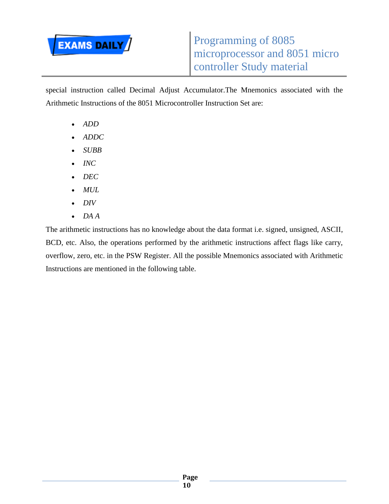

special instruction called Decimal Adjust Accumulator.The Mnemonics associated with the Arithmetic Instructions of the 8051 Microcontroller Instruction Set are:

- *ADD*
- *ADDC*
- *SUBB*
- *INC*
- *DEC*
- *MUL*
- *DIV*
- *DA A*

The arithmetic instructions has no knowledge about the data format i.e. signed, unsigned, ASCII, BCD, etc. Also, the operations performed by the arithmetic instructions affect flags like carry, overflow, zero, etc. in the PSW Register. All the possible Mnemonics associated with Arithmetic Instructions are mentioned in the following table.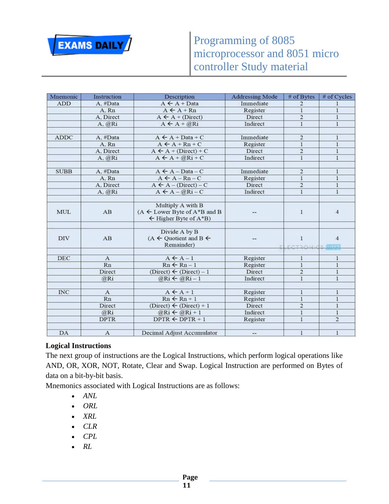

| Mnemonic    | <b>Instruction</b> | Description                                                                                         | <b>Addressing Mode</b> | # of Bytes                    | # of Cycles    |
|-------------|--------------------|-----------------------------------------------------------------------------------------------------|------------------------|-------------------------------|----------------|
| <b>ADD</b>  | A. #Data           | $A \leftarrow A + Data$                                                                             | Immediate              | $\overline{2}$                | $\mathbf{1}$   |
|             | A. Rn              | $A \leftarrow A + Rn$                                                                               | Register               | $\bf{1}$                      | $\,1$          |
|             | A. Direct          | $A \leftarrow A + (Direct)$                                                                         | Direct                 | $\overline{2}$                | $\bf{l}$       |
|             | A. @Ri             | $A \leftarrow A + @Ri$                                                                              | Indirect               | $\mathbf{1}$                  | $\mathbf{1}$   |
|             |                    |                                                                                                     |                        |                               |                |
| ADDC        | A, #Data           | $A \leftarrow A + Data + C$                                                                         | Immediate              | $\overline{c}$                | $\mathbf{1}$   |
|             | A. Rn              | $A \leftarrow A + Rn + C$                                                                           | Register               | $\overline{1}$                | $\bf{l}$       |
|             | A. Direct          | $A \leftarrow A + (Direct) + C$                                                                     | Direct                 | $\overline{\mathbf{c}}$       | $\bf 1$        |
|             | A, @Ri             | $A \leftarrow A + \widehat{a}Ri + C$                                                                | Indirect               | $\mathbf{1}$                  | $\mathbf{1}$   |
| <b>SUBB</b> | A. #Data           | $A \leftarrow A - Data - C$                                                                         | Immediate              | $\overline{\mathbf{c}}$       | $\mathbf{1}$   |
|             | A.Rn               | $A \leftarrow A - Rn - C$                                                                           | Register               | $\,1$                         | $\mathbf{1}$   |
|             | A. Direct          | $A \leftarrow A - (Direct) - C$                                                                     | Direct                 | $\overline{2}$                | $\mathbf{1}$   |
|             | $A$ , $@Ri$        | $A \leftarrow A - \widehat{\omega} Ri - C$                                                          | Indirect               | $\mathbf{1}$                  | $\mathbf{1}$   |
| <b>MUL</b>  | AB                 | Multiply A with B<br>$(A \leftarrow$ Lower Byte of $A^*B$ and B<br>$\leftarrow$ Higher Byte of A*B) |                        | 1                             | $\overline{4}$ |
| <b>DIV</b>  | AB                 | Divide A by B<br>$(A \leftarrow$ Quotient and B $\leftarrow$<br>Remainder)                          | E.                     | $\mathbf{1}$<br>FOTDONICS HER | $\overline{4}$ |
| DEC         | $\mathbf{A}$       | $A \leftarrow A - 1$                                                                                | Register               | $\,1$                         | $\mathbf{1}$   |
|             | Rn                 | $Rn \leftarrow Rn-1$                                                                                | Register               | $\mathbf{1}$                  | $\mathbf{1}$   |
|             | Direct             | (Direct) $\leftarrow$ (Direct) - 1                                                                  | Direct                 | $\overline{\mathbf{c}}$       | $\bf{l}$       |
|             | @Ri                | $@Ri \leftarrow @Ri-1$                                                                              | Indirect               | $\mathbf{1}$                  | $\mathbf{1}$   |
|             |                    |                                                                                                     |                        |                               |                |
| <b>INC</b>  | $\mathbf{A}$       | $A \leftarrow A + 1$                                                                                | Register               | $\mathbf{1}$                  | $\mathbf{1}$   |
|             | Rn                 | $Rn \leftarrow Rn + 1$                                                                              | Register               | $\mathbf{1}$                  | $\mathbf{1}$   |
|             | Direct             | (Direct) $\leftarrow$ (Direct) + 1                                                                  | Direct                 | $\overline{2}$                | $\mathbf{1}$   |
|             | @Ri                | $@Ri \leftarrow @Ri + 1$                                                                            | Indirect               | $\bf{l}$                      | $\mathbf{1}$   |
|             | <b>DPTR</b>        | $DPTR \leftarrow DPTR + 1$                                                                          | Register               | $\bf{1}$                      | $\overline{2}$ |
| DA          | $\mathbf{A}$       | Decimal Adjust Accumulator                                                                          | --                     | $\bf{l}$                      | $\,1$          |

# **Logical Instructions**

The next group of instructions are the Logical Instructions, which perform logical operations like AND, OR, XOR, NOT, Rotate, Clear and Swap. Logical Instruction are performed on Bytes of data on a bit-by-bit basis.

Mnemonics associated with Logical Instructions are as follows:

- *ANL*
- *ORL*
- *XRL*
- *CLR*
- *CPL*
- *RL*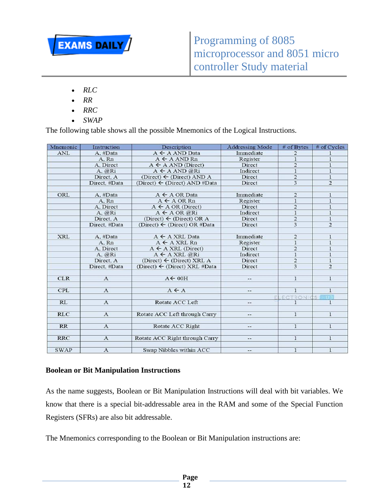

- *RLC*
- *RR*
- *RRC*
- *SWAP*

The following table shows all the possible Mnemonics of the Logical Instructions.

| Mnemonic    | Instruction   | Description                                      | <b>Addressing Mode</b> | # of Bytes              | # of Cycles    |
|-------------|---------------|--------------------------------------------------|------------------------|-------------------------|----------------|
| <b>ANL</b>  | A. #Data      | $A \leftarrow A$ AND Data                        | Immediate              | $\overline{2}$          | 1              |
|             | A. Rn         | $A \leftarrow A AND Rn$                          | Register               | $\mathbf{1}$            | $\mathbf{1}$   |
|             | A. Direct     | $A \leftarrow A AND (Direct)$                    | Direct                 | $\overline{2}$          | $\mathbf{1}$   |
|             | A. @Ri        | $A \leftarrow A AND @Ri$                         | Indirect               | $\mathbf{1}$            | $\mathbf{I}$   |
|             | Direct, A     | (Direct) ← (Direct) AND A                        | Direct                 | $\overline{2}$          | $\mathbf{1}$   |
|             | Direct, #Data | (Direct) $\leftarrow$ (Direct) AND #Data         | Direct                 | $\overline{3}$          | $\overline{2}$ |
| ORL         | A. #Data      | $A \leftarrow A$ OR Data                         | Immediate              | $\overline{2}$          | 1              |
|             | A. Rn         | $A \leftarrow A \text{ OR } Rn$                  | Register               | 1                       | $\overline{1}$ |
|             | A. Direct     | $A \leftarrow A \text{ OR } (Direct)$            | Direct                 | $\overline{2}$          | $\mathbf{I}$   |
|             | A. @Ri        | $A \leftarrow A \text{ OR } \widehat{\omega}$ Ri | Indirect               | $\mathbf{1}$            | $\mathbf{1}$   |
|             | Direct, A     | (Direct) $\leftarrow$ (Direct) OR A              | Direct                 | $\overline{2}$          | $\mathbf{1}$   |
|             | Direct, #Data | (Direct) $\leftarrow$ (Direct) OR #Data          | Direct                 | 3                       | $\overline{2}$ |
| <b>XRL</b>  | A. #Data      | $A \leftarrow A$ XRL Data                        | Immediate              | $\overline{2}$          | $\mathbf{1}$   |
|             | A. Rn         | $A \leftarrow A XRL Rn$                          | Register               | $\mathbf{1}$            | $\bf{l}$       |
|             | A. Direct     | $A \leftarrow A XRL$ (Direct)                    | Direct                 | $\overline{\mathbf{2}}$ | $\mathbf{1}$   |
|             | A. @Ri        | $A \leftarrow A XRL$ @Ri                         | Indirect               | $\mathbf{1}$            | $\overline{1}$ |
|             | Direct, A     | (Direct) $\leftarrow$ (Direct) XRL A             | Direct                 | $\overline{2}$          | $\mathbf{I}$   |
|             | Direct, #Data | (Direct) $\leftarrow$ (Direct) XRL #Data         | Direct                 | 3                       | $\overline{2}$ |
| <b>CLR</b>  | $\mathbf{A}$  | $A \leftarrow 00H$                               | --                     | $\mathbf{1}$            | $\mathbf{I}$   |
| <b>CPL</b>  | $\mathbf{A}$  | $A \leftarrow A$                                 | --                     | $\mathbf{1}$            | $\mathbf{1}$   |
|             |               |                                                  |                        | LECTRONICS HUS          |                |
| RL          | $\mathbf{A}$  | Rotate ACC Left                                  | $\frac{1}{2}$          | 1                       | 1              |
| <b>RLC</b>  | $\mathbf{A}$  | Rotate ACC Left through Carry                    | --                     | $\mathbf{1}$            | $\mathbf{1}$   |
| <b>RR</b>   | $\mathbf{A}$  | Rotate ACC Right                                 | --                     | $\mathbf{1}$            | $\mathbf{I}$   |
| <b>RRC</b>  | $\mathbf{A}$  | Rotate ACC Right through Carry                   | --                     | 1                       | $\mathbf{1}$   |
| <b>SWAP</b> | $\mathbf{A}$  | Swap Nibbles within ACC                          | $-1$                   | $\mathbf{1}$            | $\mathbf{1}$   |

#### **Boolean or Bit Manipulation Instructions**

As the name suggests, Boolean or Bit Manipulation Instructions will deal with bit variables. We know that there is a special bit-addressable area in the RAM and some of the Special Function Registers (SFRs) are also bit addressable.

The Mnemonics corresponding to the Boolean or Bit Manipulation instructions are: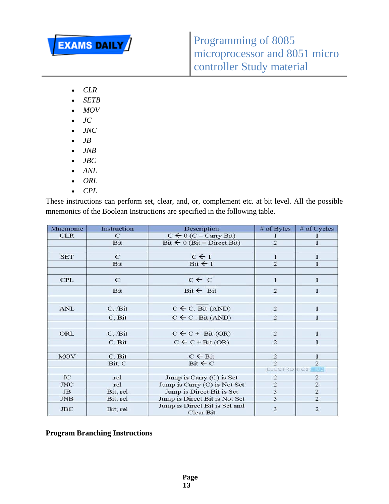

- *CLR*
- *SETB*
- *MOV*
- $\bullet$  *JC*
- *JNC*
- $\bullet$  *JB*
- *JNB*
- *JBC*
- *ANL*
- *ORL*
- *CPL*

These instructions can perform set, clear, and, or, complement etc. at bit level. All the possible mnemonics of the Boolean Instructions are specified in the following table.

| Mnemonic   | Instruction   | Description                                | $#$ of Bytes            | # of Cycles    |
|------------|---------------|--------------------------------------------|-------------------------|----------------|
| <b>CLR</b> | $\mathcal{C}$ | $C \leftarrow 0$ (C = Carry Bit)           |                         |                |
|            | Bit           | Bit $\leftarrow 0$ (Bit = Direct Bit)      | $\overline{c}$          | 1              |
|            |               |                                            |                         |                |
| <b>SET</b> | $\mathbf C$   | $C \leftarrow 1$                           | 1                       | 1              |
|            | Bit           | $Bit \leftarrow 1$                         | $\overline{2}$          | ı              |
|            |               |                                            |                         |                |
| <b>CPL</b> | $\mathbf C$   | $c \leftarrow \overline{c}$                | $\mathbf{1}$            | 1              |
|            | Bit           | $Bit \leftarrow Bit$                       | $\overline{2}$          | 1              |
|            |               |                                            |                         |                |
| <b>ANL</b> | C, /Bit       | $C \leftarrow C$ . Bit (AND)               | 2                       | $\mathbf{1}$   |
|            | C, Bit        | $C \leftarrow C$ . Bit (AND)               | $\overline{2}$          | 1              |
|            |               |                                            |                         |                |
| ORL        | C, /Bit       | $C \leftarrow C + \text{Bit } (OR)$        | $\overline{2}$          | $\mathbf{1}$   |
|            | C, Bit        | $C \leftarrow C + \text{Bit } (OR)$        | $\overline{2}$          | $\bf{l}$       |
|            |               |                                            |                         |                |
| <b>MOV</b> | C, Bit        | $C \leftarrow$ Bit                         | 2                       | 1              |
|            | Bit, C        | $Bit \leftarrow C$                         | $\overline{2}$          | $\overline{c}$ |
|            |               |                                            | <b>ELECTRONICS</b>      | - 10 a         |
| <b>JC</b>  | rel           | Jump is Carry $(C)$ is Set                 | $\mathbf{2}$            | $\overline{2}$ |
| JNC        | rel           | Jump is Carry (C) is Not Set               | $\overline{\mathbf{c}}$ | $\mathbf 2$    |
| JB.        | Bit, rel      | Jump is Direct Bit is Set                  | $\overline{\mathbf{3}}$ | $\overline{c}$ |
| <b>JNB</b> | Bit, rel      | Jump is Direct Bit is Not Set              | $\overline{\mathbf{3}}$ | $\overline{2}$ |
| <b>JBC</b> | Bit, rel      | Jump is Direct Bit is Set and<br>Clear Bit | 3                       | $\overline{2}$ |

**Program Branching Instructions**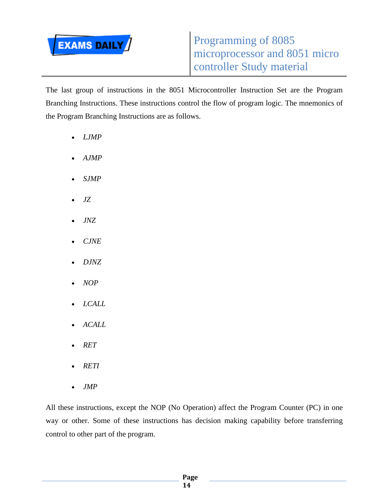

The last group of instructions in the 8051 Microcontroller Instruction Set are the Program Branching Instructions. These instructions control the flow of program logic. The mnemonics of the Program Branching Instructions are as follows.

- *LJMP*
- *AJMP*
- *SJMP*
- *JZ*
- *JNZ*
- *CJNE*
- *DJNZ*
- *NOP*
- *LCALL*
- *ACALL*
- *RET*
- *RETI*
- *JMP*

All these instructions, except the NOP (No Operation) affect the Program Counter (PC) in one way or other. Some of these instructions has decision making capability before transferring control to other part of the program.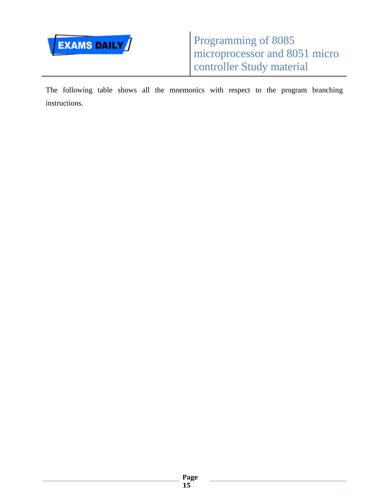

The following table shows all the mnemonics with respect to the program branching instructions.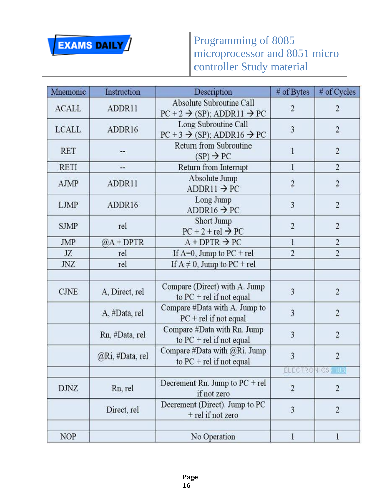

| Mnemonic     | Instruction     | Description                                                                                       | # of Bytes     | # of Cycles             |
|--------------|-----------------|---------------------------------------------------------------------------------------------------|----------------|-------------------------|
| <b>ACALL</b> | ADDR11          | Absolute Subroutine Call<br>$\overline{2}$<br>$PC + 2 \rightarrow (SP)$ ; ADDR11 $\rightarrow PC$ |                | $\overline{c}$          |
| <b>LCALL</b> | ADDR16          | Long Subroutine Call<br>$PC + 3 \rightarrow (SP)$ ; ADDR16 $\rightarrow PC$                       | $\overline{3}$ | $\overline{c}$          |
| <b>RET</b>   | --              | Return from Subroutine<br>$(SP) \rightarrow PC$                                                   | $\mathbf{1}$   | $\overline{2}$          |
| <b>RETI</b>  | --              | Return from Interrupt                                                                             | 1              | $\overline{2}$          |
| AJMP         | ADDR11          | Absolute Jump<br>$ADDR11 \rightarrow PC$                                                          | $\overline{2}$ | $\overline{c}$          |
| <b>LJMP</b>  | ADDR16          | Long Jump<br>ADDR16 $\rightarrow$ PC                                                              | 3              | $\overline{2}$          |
| <b>SJMP</b>  | rel             | Short Jump<br>$PC + 2 + rel \rightarrow PC$                                                       | $\overline{2}$ | $\sqrt{2}$              |
| JMP          | $@A + DPTR$     | $A + DPTR \rightarrow PC$                                                                         | $\mathbf{1}$   | $\overline{2}$          |
| JZ           | rel             | If $A=0$ , Jump to $PC + rel$                                                                     | $\overline{2}$ | $\overline{c}$          |
| <b>JNZ</b>   | rel             | If $A \neq 0$ , Jump to PC + rel                                                                  |                |                         |
| <b>CJNE</b>  | A, Direct, rel  | Compare (Direct) with A. Jump<br>to $PC$ + rel if not equal                                       | 3              | $\overline{c}$          |
|              | A, #Data, rel   | Compare #Data with A. Jump to<br>$PC + rel$ if not equal                                          | $\overline{3}$ | $\overline{\mathbf{c}}$ |
|              | Rn, #Data, rel  | Compare #Data with Rn. Jump<br>to $PC$ + rel if not equal                                         | $\overline{3}$ | $\overline{c}$          |
|              | @Ri, #Data, rel | Compare #Data with $@Ri$ . Jump<br>to $PC$ + rel if not equal                                     | 3              | $\overline{2}$          |
|              |                 |                                                                                                   |                | ELECTRONICS HUB         |
| <b>DJNZ</b>  | Rn, rel         | Decrement Rn. Jump to $PC + rel$<br>if not zero                                                   | $\overline{c}$ | $\overline{c}$          |
|              | Direct, rel     | Decrement (Direct). Jump to PC<br>+ rel if not zero                                               | 3              | $\overline{c}$          |
| <b>NOP</b>   |                 | No Operation                                                                                      | $\mathbf{I}$   | 1                       |